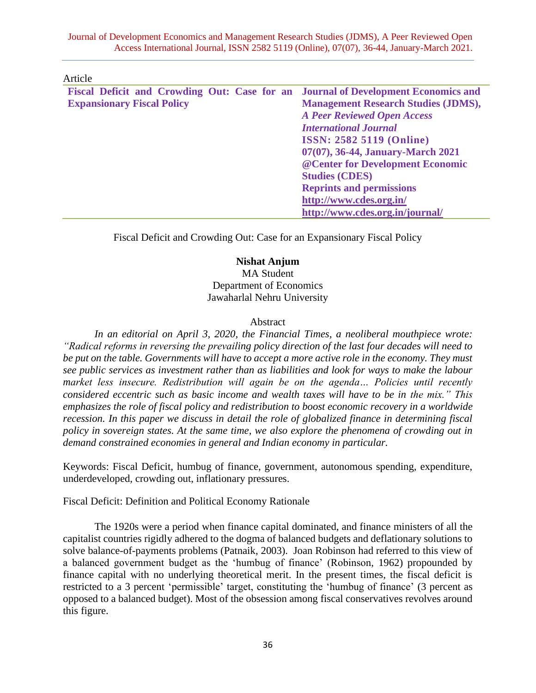#### Article

|                                   |  | Fiscal Deficit and Crowding Out: Case for an Journal of Development Economics and |
|-----------------------------------|--|-----------------------------------------------------------------------------------|
| <b>Expansionary Fiscal Policy</b> |  | <b>Management Research Studies (JDMS),</b>                                        |
|                                   |  | <b>A Peer Reviewed Open Access</b>                                                |
|                                   |  | <b>International Journal</b>                                                      |
|                                   |  | <b>ISSN: 2582 5119 (Online)</b>                                                   |
|                                   |  | 07(07), 36-44, January-March 2021                                                 |
|                                   |  | @ Center for Development Economic                                                 |
|                                   |  | <b>Studies (CDES)</b>                                                             |
|                                   |  | <b>Reprints and permissions</b>                                                   |
|                                   |  | http://www.cdes.org.in/                                                           |
|                                   |  | http://www.cdes.org.in/journal/                                                   |

Fiscal Deficit and Crowding Out: Case for an Expansionary Fiscal Policy

### **Nishat Anjum**

MA Student Department of Economics Jawaharlal Nehru University

#### Abstract

*In an editorial on April 3, 2020, the Financial Times, a neoliberal mouthpiece wrote: "Radical reforms in reversing the prevailing policy direction of the last four decades will need to be put on the table. Governments will have to accept a more active role in the economy. They must see public services as investment rather than as liabilities and look for ways to make the labour market less insecure. Redistribution will again be on the agenda… Policies until recently considered eccentric such as basic income and wealth taxes will have to be in the mix." This emphasizes the role of fiscal policy and redistribution to boost economic recovery in a worldwide recession. In this paper we discuss in detail the role of globalized finance in determining fiscal policy in sovereign states. At the same time, we also explore the phenomena of crowding out in demand constrained economies in general and Indian economy in particular.*

Keywords: Fiscal Deficit, humbug of finance, government, autonomous spending, expenditure, underdeveloped, crowding out, inflationary pressures.

Fiscal Deficit: Definition and Political Economy Rationale

The 1920s were a period when finance capital dominated, and finance ministers of all the capitalist countries rigidly adhered to the dogma of balanced budgets and deflationary solutions to solve balance-of-payments problems (Patnaik, 2003). Joan Robinson had referred to this view of a balanced government budget as the 'humbug of finance' (Robinson, 1962) propounded by finance capital with no underlying theoretical merit. In the present times, the fiscal deficit is restricted to a 3 percent 'permissible' target, constituting the 'humbug of finance' (3 percent as opposed to a balanced budget). Most of the obsession among fiscal conservatives revolves around this figure.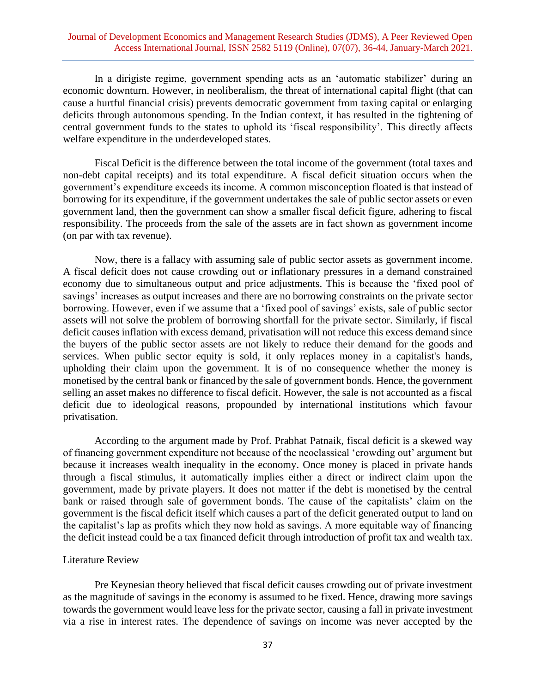In a dirigiste regime, government spending acts as an 'automatic stabilizer' during an economic downturn. However, in neoliberalism, the threat of international capital flight (that can cause a hurtful financial crisis) prevents democratic government from taxing capital or enlarging deficits through autonomous spending. In the Indian context, it has resulted in the tightening of central government funds to the states to uphold its 'fiscal responsibility'. This directly affects welfare expenditure in the underdeveloped states.

Fiscal Deficit is the difference between the total income of the government (total taxes and non-debt capital receipts) and its total expenditure. A fiscal deficit situation occurs when the government's expenditure exceeds its income. A common misconception floated is that instead of borrowing for its expenditure, if the government undertakes the sale of public sector assets or even government land, then the government can show a smaller fiscal deficit figure, adhering to fiscal responsibility. The proceeds from the sale of the assets are in fact shown as government income (on par with tax revenue).

Now, there is a fallacy with assuming sale of public sector assets as government income. A fiscal deficit does not cause crowding out or inflationary pressures in a demand constrained economy due to simultaneous output and price adjustments. This is because the 'fixed pool of savings' increases as output increases and there are no borrowing constraints on the private sector borrowing. However, even if we assume that a 'fixed pool of savings' exists, sale of public sector assets will not solve the problem of borrowing shortfall for the private sector. Similarly, if fiscal deficit causes inflation with excess demand, privatisation will not reduce this excess demand since the buyers of the public sector assets are not likely to reduce their demand for the goods and services. When public sector equity is sold, it only replaces money in a capitalist's hands, upholding their claim upon the government. It is of no consequence whether the money is monetised by the central bank or financed by the sale of government bonds. Hence, the government selling an asset makes no difference to fiscal deficit. However, the sale is not accounted as a fiscal deficit due to ideological reasons, propounded by international institutions which favour privatisation.

According to the argument made by Prof. Prabhat Patnaik, fiscal deficit is a skewed way of financing government expenditure not because of the neoclassical 'crowding out' argument but because it increases wealth inequality in the economy. Once money is placed in private hands through a fiscal stimulus, it automatically implies either a direct or indirect claim upon the government, made by private players. It does not matter if the debt is monetised by the central bank or raised through sale of government bonds. The cause of the capitalists' claim on the government is the fiscal deficit itself which causes a part of the deficit generated output to land on the capitalist's lap as profits which they now hold as savings. A more equitable way of financing the deficit instead could be a tax financed deficit through introduction of profit tax and wealth tax.

#### Literature Review

Pre Keynesian theory believed that fiscal deficit causes crowding out of private investment as the magnitude of savings in the economy is assumed to be fixed. Hence, drawing more savings towards the government would leave less for the private sector, causing a fall in private investment via a rise in interest rates. The dependence of savings on income was never accepted by the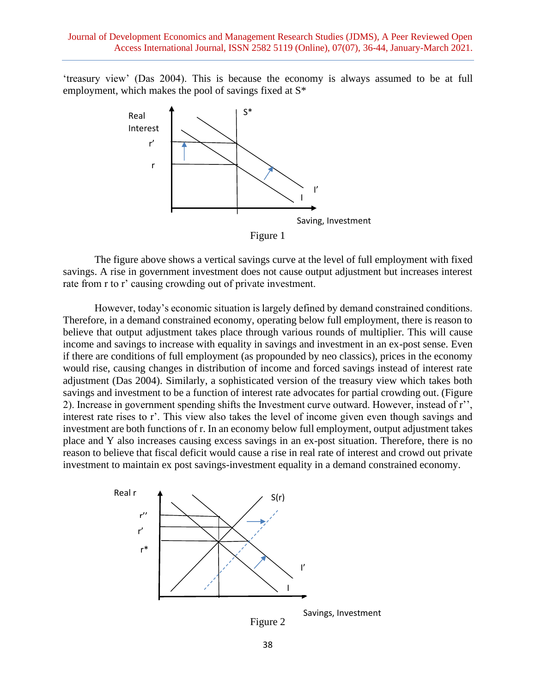'treasury view' (Das 2004). This is because the economy is always assumed to be at full employment, which makes the pool of savings fixed at S\*



The figure above shows a vertical savings curve at the level of full employment with fixed savings. A rise in government investment does not cause output adjustment but increases interest rate from r to r' causing crowding out of private investment.

However, today's economic situation is largely defined by demand constrained conditions. Therefore, in a demand constrained economy, operating below full employment, there is reason to believe that output adjustment takes place through various rounds of multiplier. This will cause income and savings to increase with equality in savings and investment in an ex-post sense. Even if there are conditions of full employment (as propounded by neo classics), prices in the economy would rise, causing changes in distribution of income and forced savings instead of interest rate adjustment (Das 2004). Similarly, a sophisticated version of the treasury view which takes both savings and investment to be a function of interest rate advocates for partial crowding out. (Figure 2). Increase in government spending shifts the Investment curve outward. However, instead of r'', interest rate rises to r'. This view also takes the level of income given even though savings and investment are both functions of r. In an economy below full employment, output adjustment takes place and Y also increases causing excess savings in an ex-post situation. Therefore, there is no reason to believe that fiscal deficit would cause a rise in real rate of interest and crowd out private investment to maintain ex post savings-investment equality in a demand constrained economy.



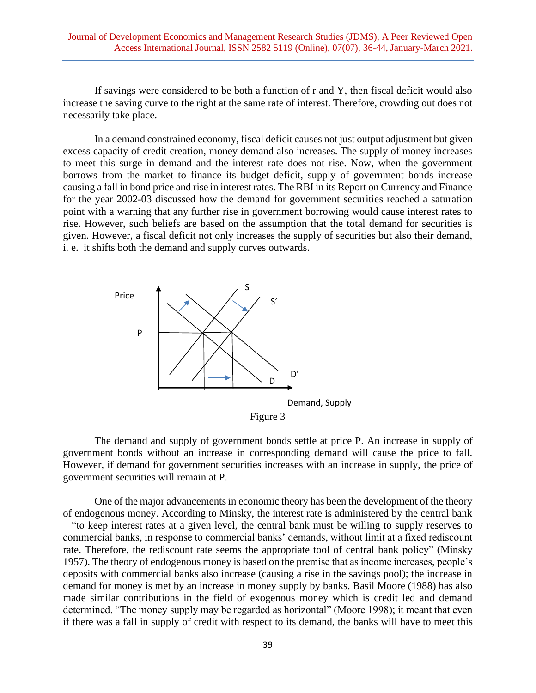If savings were considered to be both a function of r and Y, then fiscal deficit would also increase the saving curve to the right at the same rate of interest. Therefore, crowding out does not necessarily take place.

In a demand constrained economy, fiscal deficit causes not just output adjustment but given excess capacity of credit creation, money demand also increases. The supply of money increases to meet this surge in demand and the interest rate does not rise. Now, when the government borrows from the market to finance its budget deficit, supply of government bonds increase causing a fall in bond price and rise in interest rates. The RBI in its Report on Currency and Finance for the year 2002-03 discussed how the demand for government securities reached a saturation point with a warning that any further rise in government borrowing would cause interest rates to rise. However, such beliefs are based on the assumption that the total demand for securities is given. However, a fiscal deficit not only increases the supply of securities but also their demand, i. e. it shifts both the demand and supply curves outwards.



The demand and supply of government bonds settle at price P. An increase in supply of government bonds without an increase in corresponding demand will cause the price to fall. However, if demand for government securities increases with an increase in supply, the price of government securities will remain at P.

One of the major advancements in economic theory has been the development of the theory of endogenous money. According to Minsky, the interest rate is administered by the central bank – "to keep interest rates at a given level, the central bank must be willing to supply reserves to commercial banks, in response to commercial banks' demands, without limit at a fixed rediscount rate. Therefore, the rediscount rate seems the appropriate tool of central bank policy" (Minsky 1957). The theory of endogenous money is based on the premise that as income increases, people's deposits with commercial banks also increase (causing a rise in the savings pool); the increase in demand for money is met by an increase in money supply by banks. Basil Moore (1988) has also made similar contributions in the field of exogenous money which is credit led and demand determined. "The money supply may be regarded as horizontal" (Moore 1998); it meant that even if there was a fall in supply of credit with respect to its demand, the banks will have to meet this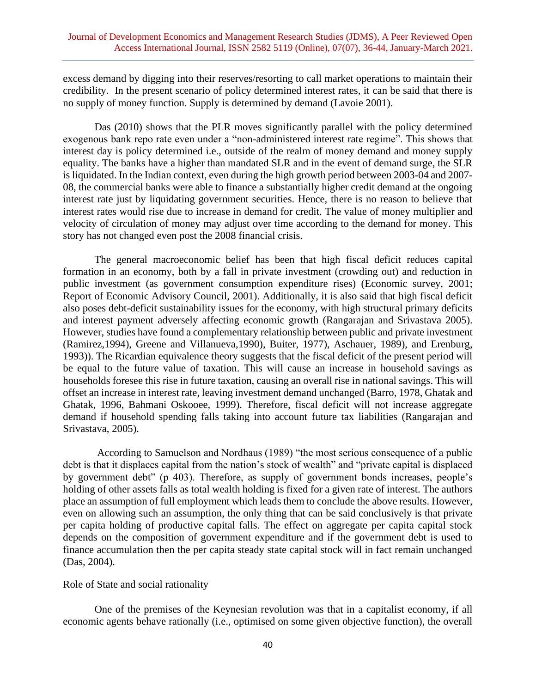excess demand by digging into their reserves/resorting to call market operations to maintain their credibility. In the present scenario of policy determined interest rates, it can be said that there is no supply of money function. Supply is determined by demand (Lavoie 2001).

Das (2010) shows that the PLR moves significantly parallel with the policy determined exogenous bank repo rate even under a "non-administered interest rate regime". This shows that interest day is policy determined i.e., outside of the realm of money demand and money supply equality. The banks have a higher than mandated SLR and in the event of demand surge, the SLR is liquidated. In the Indian context, even during the high growth period between 2003-04 and 2007- 08, the commercial banks were able to finance a substantially higher credit demand at the ongoing interest rate just by liquidating government securities. Hence, there is no reason to believe that interest rates would rise due to increase in demand for credit. The value of money multiplier and velocity of circulation of money may adjust over time according to the demand for money. This story has not changed even post the 2008 financial crisis.

The general macroeconomic belief has been that high fiscal deficit reduces capital formation in an economy, both by a fall in private investment (crowding out) and reduction in public investment (as government consumption expenditure rises) (Economic survey, 2001; Report of Economic Advisory Council, 2001). Additionally, it is also said that high fiscal deficit also poses debt-deficit sustainability issues for the economy, with high structural primary deficits and interest payment adversely affecting economic growth (Rangarajan and Srivastava 2005). However, studies have found a complementary relationship between public and private investment (Ramirez,1994), Greene and Villanueva,1990), Buiter, 1977), Aschauer, 1989), and Erenburg, 1993)). The Ricardian equivalence theory suggests that the fiscal deficit of the present period will be equal to the future value of taxation. This will cause an increase in household savings as households foresee this rise in future taxation, causing an overall rise in national savings. This will offset an increase in interest rate, leaving investment demand unchanged (Barro, 1978, Ghatak and Ghatak, 1996, Bahmani Oskooee, 1999). Therefore, fiscal deficit will not increase aggregate demand if household spending falls taking into account future tax liabilities (Rangarajan and Srivastava, 2005).

According to Samuelson and Nordhaus (1989) "the most serious consequence of a public debt is that it displaces capital from the nation's stock of wealth" and "private capital is displaced by government debt" (p 403). Therefore, as supply of government bonds increases, people's holding of other assets falls as total wealth holding is fixed for a given rate of interest. The authors place an assumption of full employment which leads them to conclude the above results. However, even on allowing such an assumption, the only thing that can be said conclusively is that private per capita holding of productive capital falls. The effect on aggregate per capita capital stock depends on the composition of government expenditure and if the government debt is used to finance accumulation then the per capita steady state capital stock will in fact remain unchanged (Das, 2004).

Role of State and social rationality

One of the premises of the Keynesian revolution was that in a capitalist economy, if all economic agents behave rationally (i.e., optimised on some given objective function), the overall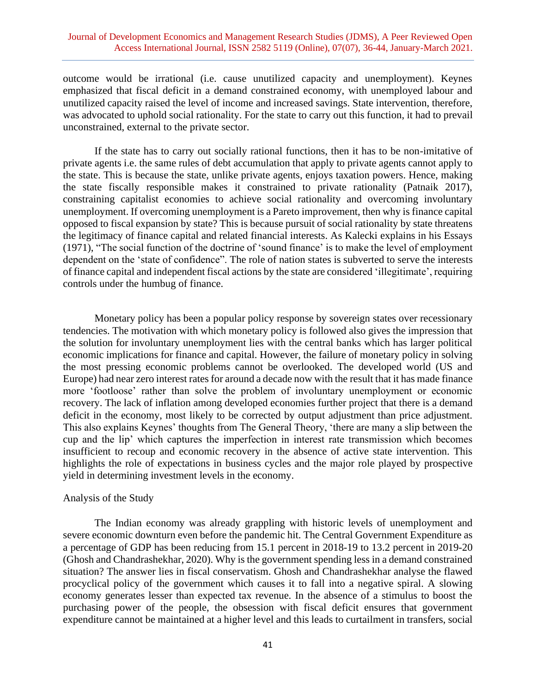outcome would be irrational (i.e. cause unutilized capacity and unemployment). Keynes emphasized that fiscal deficit in a demand constrained economy, with unemployed labour and unutilized capacity raised the level of income and increased savings. State intervention, therefore, was advocated to uphold social rationality. For the state to carry out this function, it had to prevail unconstrained, external to the private sector.

If the state has to carry out socially rational functions, then it has to be non-imitative of private agents i.e. the same rules of debt accumulation that apply to private agents cannot apply to the state. This is because the state, unlike private agents, enjoys taxation powers. Hence, making the state fiscally responsible makes it constrained to private rationality (Patnaik 2017), constraining capitalist economies to achieve social rationality and overcoming involuntary unemployment. If overcoming unemployment is a Pareto improvement, then why is finance capital opposed to fiscal expansion by state? This is because pursuit of social rationality by state threatens the legitimacy of finance capital and related financial interests. As Kalecki explains in his Essays (1971), "The social function of the doctrine of 'sound finance' is to make the level of employment dependent on the 'state of confidence". The role of nation states is subverted to serve the interests of finance capital and independent fiscal actions by the state are considered 'illegitimate', requiring controls under the humbug of finance.

Monetary policy has been a popular policy response by sovereign states over recessionary tendencies. The motivation with which monetary policy is followed also gives the impression that the solution for involuntary unemployment lies with the central banks which has larger political economic implications for finance and capital. However, the failure of monetary policy in solving the most pressing economic problems cannot be overlooked. The developed world (US and Europe) had near zero interest rates for around a decade now with the result that it has made finance more 'footloose' rather than solve the problem of involuntary unemployment or economic recovery. The lack of inflation among developed economies further project that there is a demand deficit in the economy, most likely to be corrected by output adjustment than price adjustment. This also explains Keynes' thoughts from The General Theory, 'there are many a slip between the cup and the lip' which captures the imperfection in interest rate transmission which becomes insufficient to recoup and economic recovery in the absence of active state intervention. This highlights the role of expectations in business cycles and the major role played by prospective yield in determining investment levels in the economy.

#### Analysis of the Study

The Indian economy was already grappling with historic levels of unemployment and severe economic downturn even before the pandemic hit. The Central Government Expenditure as a percentage of GDP has been reducing from 15.1 percent in 2018-19 to 13.2 percent in 2019-20 (Ghosh and Chandrashekhar, 2020). Why is the government spending less in a demand constrained situation? The answer lies in fiscal conservatism. Ghosh and Chandrashekhar analyse the flawed procyclical policy of the government which causes it to fall into a negative spiral. A slowing economy generates lesser than expected tax revenue. In the absence of a stimulus to boost the purchasing power of the people, the obsession with fiscal deficit ensures that government expenditure cannot be maintained at a higher level and this leads to curtailment in transfers, social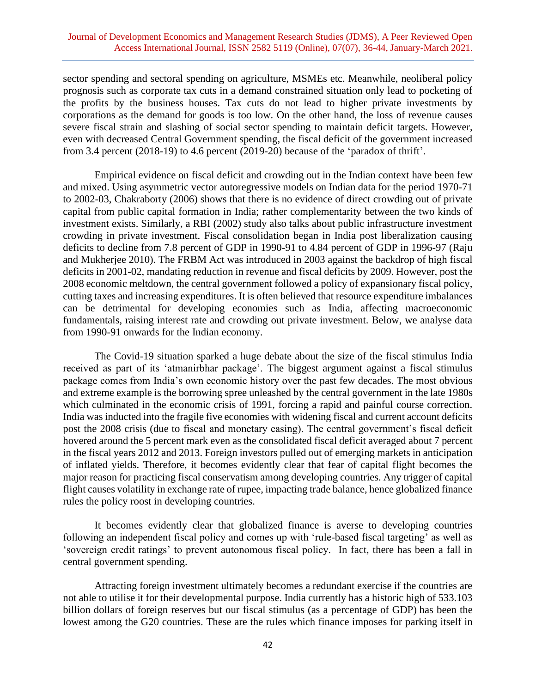sector spending and sectoral spending on agriculture, MSMEs etc. Meanwhile, neoliberal policy prognosis such as corporate tax cuts in a demand constrained situation only lead to pocketing of the profits by the business houses. Tax cuts do not lead to higher private investments by corporations as the demand for goods is too low. On the other hand, the loss of revenue causes severe fiscal strain and slashing of social sector spending to maintain deficit targets. However, even with decreased Central Government spending, the fiscal deficit of the government increased from 3.4 percent (2018-19) to 4.6 percent (2019-20) because of the 'paradox of thrift'.

Empirical evidence on fiscal deficit and crowding out in the Indian context have been few and mixed. Using asymmetric vector autoregressive models on Indian data for the period 1970-71 to 2002-03, Chakraborty (2006) shows that there is no evidence of direct crowding out of private capital from public capital formation in India; rather complementarity between the two kinds of investment exists. Similarly, a RBI (2002) study also talks about public infrastructure investment crowding in private investment. Fiscal consolidation began in India post liberalization causing deficits to decline from 7.8 percent of GDP in 1990-91 to 4.84 percent of GDP in 1996-97 (Raju and Mukherjee 2010). The FRBM Act was introduced in 2003 against the backdrop of high fiscal deficits in 2001-02, mandating reduction in revenue and fiscal deficits by 2009. However, post the 2008 economic meltdown, the central government followed a policy of expansionary fiscal policy, cutting taxes and increasing expenditures. It is often believed that resource expenditure imbalances can be detrimental for developing economies such as India, affecting macroeconomic fundamentals, raising interest rate and crowding out private investment. Below, we analyse data from 1990-91 onwards for the Indian economy.

The Covid-19 situation sparked a huge debate about the size of the fiscal stimulus India received as part of its 'atmanirbhar package'. The biggest argument against a fiscal stimulus package comes from India's own economic history over the past few decades. The most obvious and extreme example is the borrowing spree unleashed by the central government in the late 1980s which culminated in the economic crisis of 1991, forcing a rapid and painful course correction. India was inducted into the fragile five economies with widening fiscal and current account deficits post the 2008 crisis (due to fiscal and monetary easing). The central government's fiscal deficit hovered around the 5 percent mark even as the consolidated fiscal deficit averaged about 7 percent in the fiscal years 2012 and 2013. Foreign investors pulled out of emerging markets in anticipation of inflated yields. Therefore, it becomes evidently clear that fear of capital flight becomes the major reason for practicing fiscal conservatism among developing countries. Any trigger of capital flight causes volatility in exchange rate of rupee, impacting trade balance, hence globalized finance rules the policy roost in developing countries.

It becomes evidently clear that globalized finance is averse to developing countries following an independent fiscal policy and comes up with 'rule-based fiscal targeting' as well as 'sovereign credit ratings' to prevent autonomous fiscal policy. In fact, there has been a fall in central government spending.

Attracting foreign investment ultimately becomes a redundant exercise if the countries are not able to utilise it for their developmental purpose. India currently has a historic high of 533.103 billion dollars of foreign reserves but our fiscal stimulus (as a percentage of GDP) has been the lowest among the G20 countries. These are the rules which finance imposes for parking itself in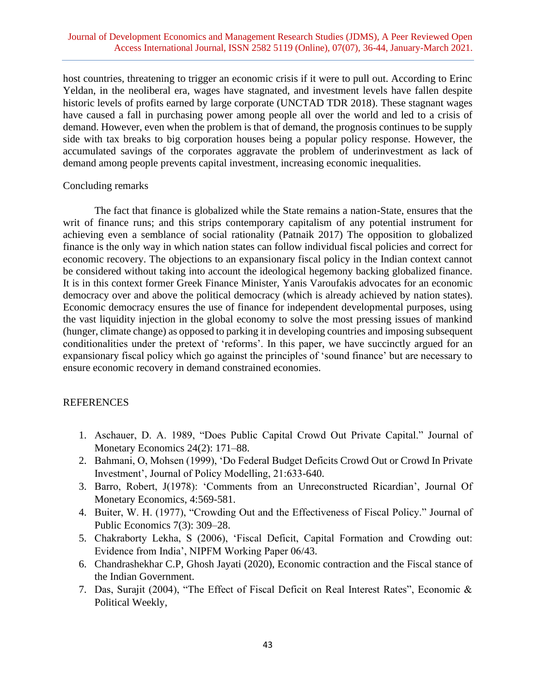host countries, threatening to trigger an economic crisis if it were to pull out. According to Erinc Yeldan, in the neoliberal era, wages have stagnated, and investment levels have fallen despite historic levels of profits earned by large corporate (UNCTAD TDR 2018). These stagnant wages have caused a fall in purchasing power among people all over the world and led to a crisis of demand. However, even when the problem is that of demand, the prognosis continues to be supply side with tax breaks to big corporation houses being a popular policy response. However, the accumulated savings of the corporates aggravate the problem of underinvestment as lack of demand among people prevents capital investment, increasing economic inequalities.

## Concluding remarks

The fact that finance is globalized while the State remains a nation-State, ensures that the writ of finance runs; and this strips contemporary capitalism of any potential instrument for achieving even a semblance of social rationality (Patnaik 2017) The opposition to globalized finance is the only way in which nation states can follow individual fiscal policies and correct for economic recovery. The objections to an expansionary fiscal policy in the Indian context cannot be considered without taking into account the ideological hegemony backing globalized finance. It is in this context former Greek Finance Minister, Yanis Varoufakis advocates for an economic democracy over and above the political democracy (which is already achieved by nation states). Economic democracy ensures the use of finance for independent developmental purposes, using the vast liquidity injection in the global economy to solve the most pressing issues of mankind (hunger, climate change) as opposed to parking it in developing countries and imposing subsequent conditionalities under the pretext of 'reforms'. In this paper, we have succinctly argued for an expansionary fiscal policy which go against the principles of 'sound finance' but are necessary to ensure economic recovery in demand constrained economies.

# **REFERENCES**

- 1. Aschauer, D. A. 1989, "Does Public Capital Crowd Out Private Capital." Journal of Monetary Economics 24(2): 171–88.
- 2. Bahmani, O, Mohsen (1999), 'Do Federal Budget Deficits Crowd Out or Crowd In Private Investment', Journal of Policy Modelling, 21:633-640.
- 3. Barro, Robert, J(1978): 'Comments from an Unreconstructed Ricardian', Journal Of Monetary Economics, 4:569-581.
- 4. Buiter, W. H. (1977), "Crowding Out and the Effectiveness of Fiscal Policy." Journal of Public Economics 7(3): 309–28.
- 5. Chakraborty Lekha, S (2006), 'Fiscal Deficit, Capital Formation and Crowding out: Evidence from India', NIPFM Working Paper 06/43.
- 6. Chandrashekhar C.P, Ghosh Jayati (2020), Economic contraction and the Fiscal stance of the Indian Government.
- 7. Das, Surajit (2004), "The Effect of Fiscal Deficit on Real Interest Rates", Economic & Political Weekly,